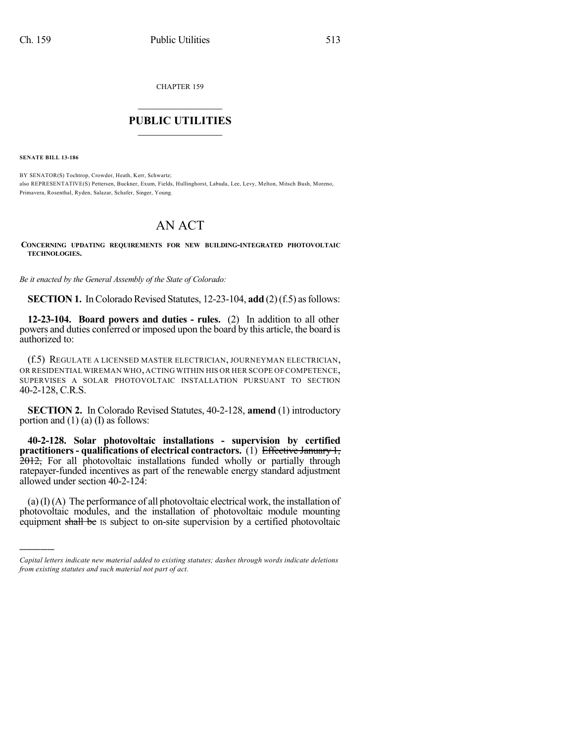CHAPTER 159

## $\mathcal{L}_\text{max}$  . The set of the set of the set of the set of the set of the set of the set of the set of the set of the set of the set of the set of the set of the set of the set of the set of the set of the set of the set **PUBLIC UTILITIES** \_\_\_\_\_\_\_\_\_\_\_\_\_\_\_

**SENATE BILL 13-186**

)))))

BY SENATOR(S) Tochtrop, Crowder, Heath, Kerr, Schwartz; also REPRESENTATIVE(S) Pettersen, Buckner, Exum, Fields, Hullinghorst, Labuda, Lee, Levy, Melton, Mitsch Bush, Moreno, Primavera, Rosenthal, Ryden, Salazar, Schafer, Singer, Young.

## AN ACT

**CONCERNING UPDATING REQUIREMENTS FOR NEW BUILDING-INTEGRATED PHOTOVOLTAIC TECHNOLOGIES.**

*Be it enacted by the General Assembly of the State of Colorado:*

**SECTION 1.** In Colorado Revised Statutes, 12-23-104, **add** (2)(f.5) as follows:

**12-23-104. Board powers and duties - rules.** (2) In addition to all other powers and duties conferred or imposed upon the board by this article, the board is authorized to:

(f.5) REGULATE A LICENSED MASTER ELECTRICIAN, JOURNEYMAN ELECTRICIAN, OR RESIDENTIAL WIREMAN WHO, ACTING WITHIN HIS OR HER SCOPE OF COMPETENCE, SUPERVISES A SOLAR PHOTOVOLTAIC INSTALLATION PURSUANT TO SECTION 40-2-128, C.R.S.

**SECTION 2.** In Colorado Revised Statutes, 40-2-128, **amend** (1) introductory portion and  $(1)$  (a)  $(I)$  as follows:

**40-2-128. Solar photovoltaic installations - supervision by certified practitioners- qualifications of electrical contractors.** (1) Effective January 1, 2012, For all photovoltaic installations funded wholly or partially through ratepayer-funded incentives as part of the renewable energy standard adjustment allowed under section 40-2-124:

 $(a)$ (I)(A) The performance of all photovoltaic electrical work, the installation of photovoltaic modules, and the installation of photovoltaic module mounting equipment shall be IS subject to on-site supervision by a certified photovoltaic

*Capital letters indicate new material added to existing statutes; dashes through words indicate deletions from existing statutes and such material not part of act.*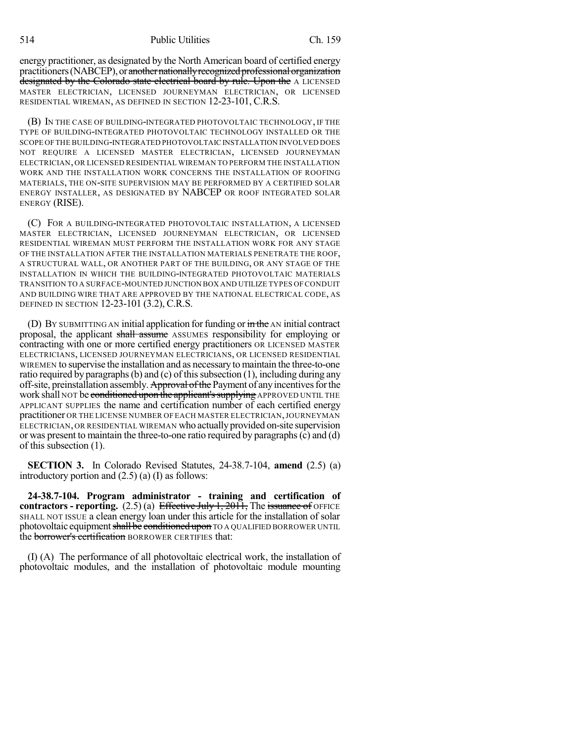energy practitioner, as designated by the North American board of certified energy practitioners (NABCEP), or another nationally recognized professional organization designated by the Colorado state electrical board by rule. Upon the A LICENSED MASTER ELECTRICIAN, LICENSED JOURNEYMAN ELECTRICIAN, OR LICENSED RESIDENTIAL WIREMAN, AS DEFINED IN SECTION 12-23-101, C.R.S.

(B) IN THE CASE OF BUILDING-INTEGRATED PHOTOVOLTAIC TECHNOLOGY, IF THE TYPE OF BUILDING-INTEGRATED PHOTOVOLTAIC TECHNOLOGY INSTALLED OR THE SCOPE OFTHE BUILDING-INTEGRATED PHOTOVOLTAIC INSTALLATION INVOLVED DOES NOT REQUIRE A LICENSED MASTER ELECTRICIAN, LICENSED JOURNEYMAN ELECTRICIAN, OR LICENSED RESIDENTIAL WIREMAN TO PERFORM THE INSTALLATION WORK AND THE INSTALLATION WORK CONCERNS THE INSTALLATION OF ROOFING MATERIALS, THE ON-SITE SUPERVISION MAY BE PERFORMED BY A CERTIFIED SOLAR ENERGY INSTALLER, AS DESIGNATED BY NABCEP OR ROOF INTEGRATED SOLAR ENERGY (RISE).

(C) FOR A BUILDING-INTEGRATED PHOTOVOLTAIC INSTALLATION, A LICENSED MASTER ELECTRICIAN, LICENSED JOURNEYMAN ELECTRICIAN, OR LICENSED RESIDENTIAL WIREMAN MUST PERFORM THE INSTALLATION WORK FOR ANY STAGE OF THE INSTALLATION AFTER THE INSTALLATION MATERIALS PENETRATE THE ROOF, A STRUCTURAL WALL, OR ANOTHER PART OF THE BUILDING, OR ANY STAGE OF THE INSTALLATION IN WHICH THE BUILDING-INTEGRATED PHOTOVOLTAIC MATERIALS TRANSITION TO A SURFACE-MOUNTED JUNCTION BOX AND UTILIZE TYPES OF CONDUIT AND BUILDING WIRE THAT ARE APPROVED BY THE NATIONAL ELECTRICAL CODE, AS DEFINED IN SECTION 12-23-101 (3.2), C.R.S.

(D) BY SUBMITTING AN initial application for funding or  $\frac{1}{m}$  the AN initial contract proposal, the applicant shall assume ASSUMES responsibility for employing or contracting with one or more certified energy practitioners OR LICENSED MASTER ELECTRICIANS, LICENSED JOURNEYMAN ELECTRICIANS, OR LICENSED RESIDENTIAL WIREMEN to supervise the installation and as necessary to maintain the three-to-one ratio required by paragraphs (b) and (c) of this subsection  $(1)$ , including during any off-site, preinstallation assembly. Approval of the Payment of any incentives for the work shall NOT be conditioned upon the applicant's supplying APPROVED UNTIL THE APPLICANT SUPPLIES the name and certification number of each certified energy practitioner OR THE LICENSE NUMBER OF EACH MASTER ELECTRICIAN,JOURNEYMAN ELECTRICIAN, OR RESIDENTIAL WIREMAN who actuallyprovided on-site supervision or was present to maintain the three-to-one ratio required by paragraphs(c) and (d) of this subsection (1).

**SECTION 3.** In Colorado Revised Statutes, 24-38.7-104, **amend** (2.5) (a) introductory portion and (2.5) (a) (I) as follows:

**24-38.7-104. Program administrator - training and certification of contractors - reporting.** (2.5) (a) Effective July 1, 2011, The issuance of OFFICE SHALL NOT ISSUE a clean energy loan under this article for the installation of solar photovoltaic equipment shall be conditioned upon TO A QUALIFIED BORROWER UNTIL the **borrower's certification** BORROWER CERTIFIES that:

(I) (A) The performance of all photovoltaic electrical work, the installation of photovoltaic modules, and the installation of photovoltaic module mounting